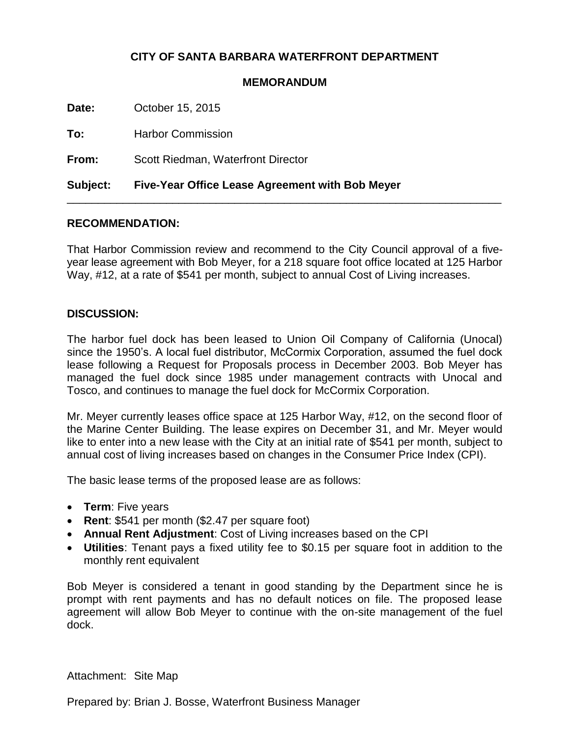## **CITY OF SANTA BARBARA WATERFRONT DEPARTMENT**

## **MEMORANDUM**

**Date:** October 15, 2015

**To:** Harbor Commission

**From:** Scott Riedman, Waterfront Director

**Subject: Five-Year Office Lease Agreement with Bob Meyer**

## **RECOMMENDATION:**

That Harbor Commission review and recommend to the City Council approval of a fiveyear lease agreement with Bob Meyer, for a 218 square foot office located at 125 Harbor Way, #12, at a rate of \$541 per month, subject to annual Cost of Living increases.

\_\_\_\_\_\_\_\_\_\_\_\_\_\_\_\_\_\_\_\_\_\_\_\_\_\_\_\_\_\_\_\_\_\_\_\_\_\_\_\_\_\_\_\_\_\_\_\_\_\_\_\_\_\_\_\_\_\_\_\_\_\_\_\_\_\_\_\_\_\_

## **DISCUSSION:**

The harbor fuel dock has been leased to Union Oil Company of California (Unocal) since the 1950's. A local fuel distributor, McCormix Corporation, assumed the fuel dock lease following a Request for Proposals process in December 2003. Bob Meyer has managed the fuel dock since 1985 under management contracts with Unocal and Tosco, and continues to manage the fuel dock for McCormix Corporation.

Mr. Meyer currently leases office space at 125 Harbor Way, #12, on the second floor of the Marine Center Building. The lease expires on December 31, and Mr. Meyer would like to enter into a new lease with the City at an initial rate of \$541 per month, subject to annual cost of living increases based on changes in the Consumer Price Index (CPI).

The basic lease terms of the proposed lease are as follows:

- **Term**: Five years
- **Rent**: \$541 per month (\$2.47 per square foot)
- **Annual Rent Adjustment**: Cost of Living increases based on the CPI
- **Utilities**: Tenant pays a fixed utility fee to \$0.15 per square foot in addition to the monthly rent equivalent

Bob Meyer is considered a tenant in good standing by the Department since he is prompt with rent payments and has no default notices on file. The proposed lease agreement will allow Bob Meyer to continue with the on-site management of the fuel dock.

Attachment: Site Map

Prepared by: Brian J. Bosse, Waterfront Business Manager